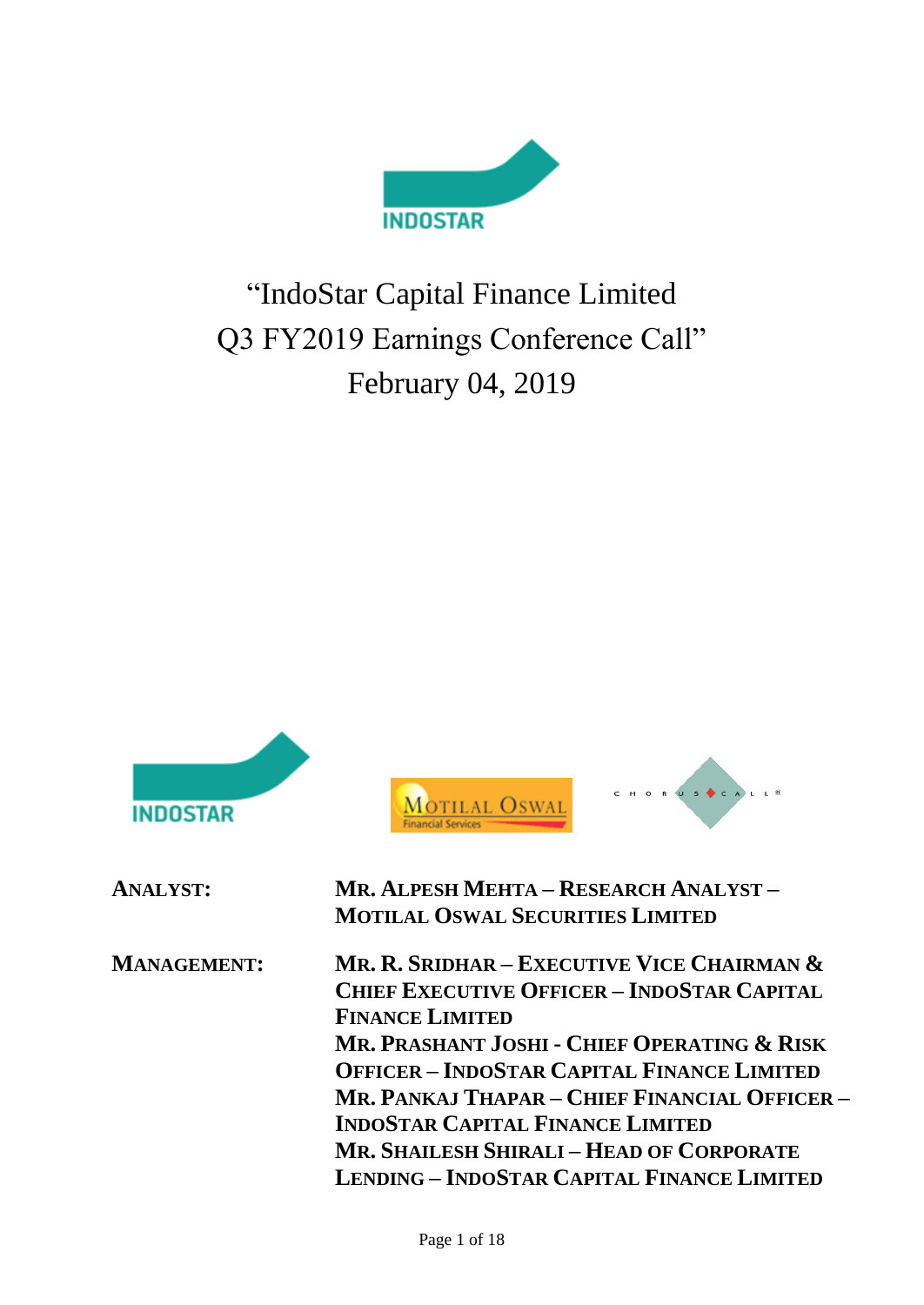

# "IndoStar Capital Finance Limited Q3 FY2019 Earnings Conference Call" February 04, 2019

| INDOSTAR           |                                                                                                                                                                                                                                                                                                                                                                                                                                   |
|--------------------|-----------------------------------------------------------------------------------------------------------------------------------------------------------------------------------------------------------------------------------------------------------------------------------------------------------------------------------------------------------------------------------------------------------------------------------|
| <b>ANALYST:</b>    | MR. ALPESH MEHTA – RESEARCH ANALYST –<br><b>MOTILAL OSWAL SECURITIES LIMITED</b>                                                                                                                                                                                                                                                                                                                                                  |
| <b>MANAGEMENT:</b> | Mr. R. Sridhar – Executive Vice Chairman &<br><b>CHIEF EXECUTIVE OFFICER - INDOSTAR CAPITAL</b><br><b>FINANCE LIMITED</b><br>MR. PRASHANT JOSHI - CHIEF OPERATING & RISK<br><b>OFFICER - INDOSTAR CAPITAL FINANCE LIMITED</b><br>MR. PANKAJ THAPAR – CHIEF FINANCIAL OFFICER –<br><b>INDOSTAR CAPITAL FINANCE LIMITED</b><br><b>MR. SHAILESH SHIRALI - HEAD OF CORPORATE</b><br><b>LENDING - INDOSTAR CAPITAL FINANCE LIMITED</b> |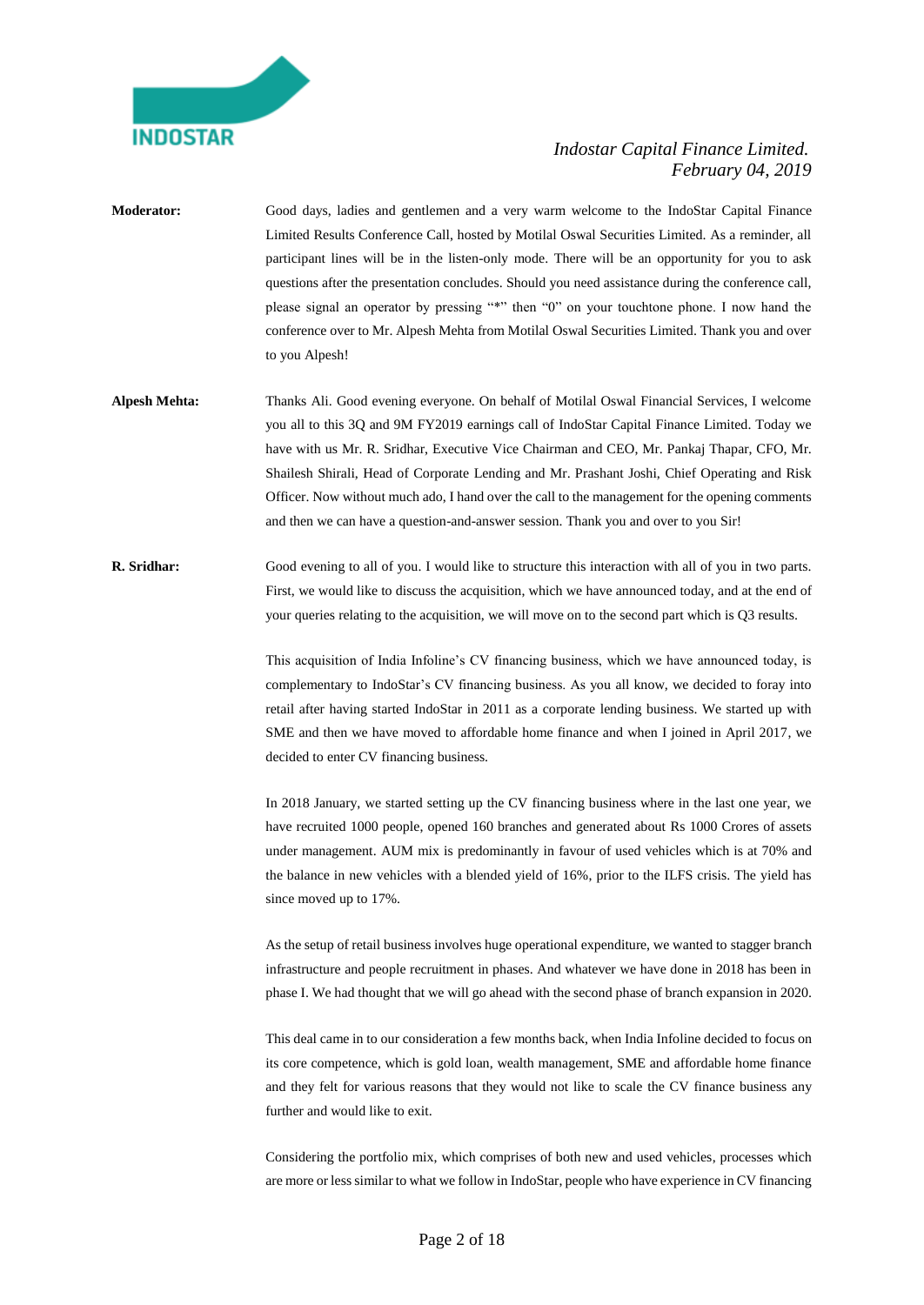

- **Moderator:** Good days, ladies and gentlemen and a very warm welcome to the IndoStar Capital Finance Limited Results Conference Call, hosted by Motilal Oswal Securities Limited. As a reminder, all participant lines will be in the listen-only mode. There will be an opportunity for you to ask questions after the presentation concludes. Should you need assistance during the conference call, please signal an operator by pressing "\*" then "0" on your touchtone phone. I now hand the conference over to Mr. Alpesh Mehta from Motilal Oswal Securities Limited. Thank you and over to you Alpesh!
- **Alpesh Mehta:** Thanks Ali. Good evening everyone. On behalf of Motilal Oswal Financial Services, I welcome you all to this 3Q and 9M FY2019 earnings call of IndoStar Capital Finance Limited. Today we have with us Mr. R. Sridhar, Executive Vice Chairman and CEO, Mr. Pankaj Thapar, CFO, Mr. Shailesh Shirali, Head of Corporate Lending and Mr. Prashant Joshi, Chief Operating and Risk Officer. Now without much ado, I hand over the call to the management for the opening comments and then we can have a question-and-answer session. Thank you and over to you Sir!
- **R. Sridhar:** Good evening to all of you. I would like to structure this interaction with all of you in two parts. First, we would like to discuss the acquisition, which we have announced today, and at the end of your queries relating to the acquisition, we will move on to the second part which is Q3 results.

This acquisition of India Infoline's CV financing business, which we have announced today, is complementary to IndoStar's CV financing business. As you all know, we decided to foray into retail after having started IndoStar in 2011 as a corporate lending business. We started up with SME and then we have moved to affordable home finance and when I joined in April 2017, we decided to enter CV financing business.

In 2018 January, we started setting up the CV financing business where in the last one year, we have recruited 1000 people, opened 160 branches and generated about Rs 1000 Crores of assets under management. AUM mix is predominantly in favour of used vehicles which is at 70% and the balance in new vehicles with a blended yield of 16%, prior to the ILFS crisis. The yield has since moved up to 17%.

As the setup of retail business involves huge operational expenditure, we wanted to stagger branch infrastructure and people recruitment in phases. And whatever we have done in 2018 has been in phase I. We had thought that we will go ahead with the second phase of branch expansion in 2020.

This deal came in to our consideration a few months back, when India Infoline decided to focus on its core competence, which is gold loan, wealth management, SME and affordable home finance and they felt for various reasons that they would not like to scale the CV finance business any further and would like to exit.

Considering the portfolio mix, which comprises of both new and used vehicles, processes which are more or less similar to what we follow in IndoStar, people who have experience in CV financing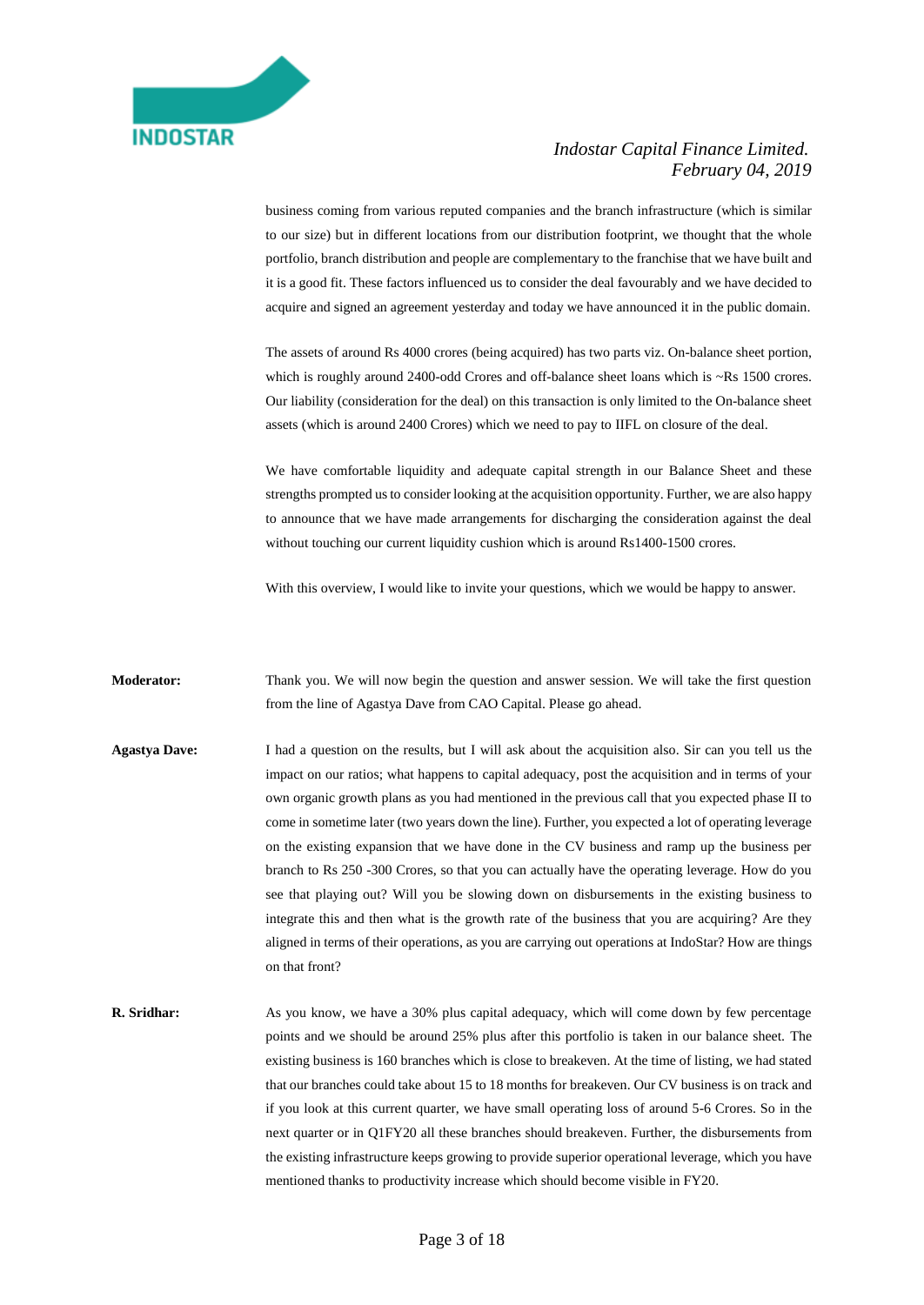

business coming from various reputed companies and the branch infrastructure (which is similar to our size) but in different locations from our distribution footprint, we thought that the whole portfolio, branch distribution and people are complementary to the franchise that we have built and it is a good fit. These factors influenced us to consider the deal favourably and we have decided to acquire and signed an agreement yesterday and today we have announced it in the public domain.

The assets of around Rs 4000 crores (being acquired) has two parts viz. On-balance sheet portion, which is roughly around 2400-odd Crores and off-balance sheet loans which is ~Rs 1500 crores. Our liability (consideration for the deal) on this transaction is only limited to the On-balance sheet assets (which is around 2400 Crores) which we need to pay to IIFL on closure of the deal.

We have comfortable liquidity and adequate capital strength in our Balance Sheet and these strengths prompted us to consider looking at the acquisition opportunity. Further, we are also happy to announce that we have made arrangements for discharging the consideration against the deal without touching our current liquidity cushion which is around Rs1400-1500 crores.

With this overview. I would like to invite your questions, which we would be happy to answer.

**Moderator:** Thank you. We will now begin the question and answer session. We will take the first question from the line of Agastya Dave from CAO Capital. Please go ahead.

- **Agastya Dave:** I had a question on the results, but I will ask about the acquisition also. Sir can you tell us the impact on our ratios; what happens to capital adequacy, post the acquisition and in terms of your own organic growth plans as you had mentioned in the previous call that you expected phase II to come in sometime later (two years down the line). Further, you expected a lot of operating leverage on the existing expansion that we have done in the CV business and ramp up the business per branch to Rs 250 -300 Crores, so that you can actually have the operating leverage. How do you see that playing out? Will you be slowing down on disbursements in the existing business to integrate this and then what is the growth rate of the business that you are acquiring? Are they aligned in terms of their operations, as you are carrying out operations at IndoStar? How are things on that front?
- **R. Sridhar:** As you know, we have a 30% plus capital adequacy, which will come down by few percentage points and we should be around 25% plus after this portfolio is taken in our balance sheet. The existing business is 160 branches which is close to breakeven. At the time of listing, we had stated that our branches could take about 15 to 18 months for breakeven. Our CV business is on track and if you look at this current quarter, we have small operating loss of around 5-6 Crores. So in the next quarter or in Q1FY20 all these branches should breakeven. Further, the disbursements from the existing infrastructure keeps growing to provide superior operational leverage, which you have mentioned thanks to productivity increase which should become visible in FY20.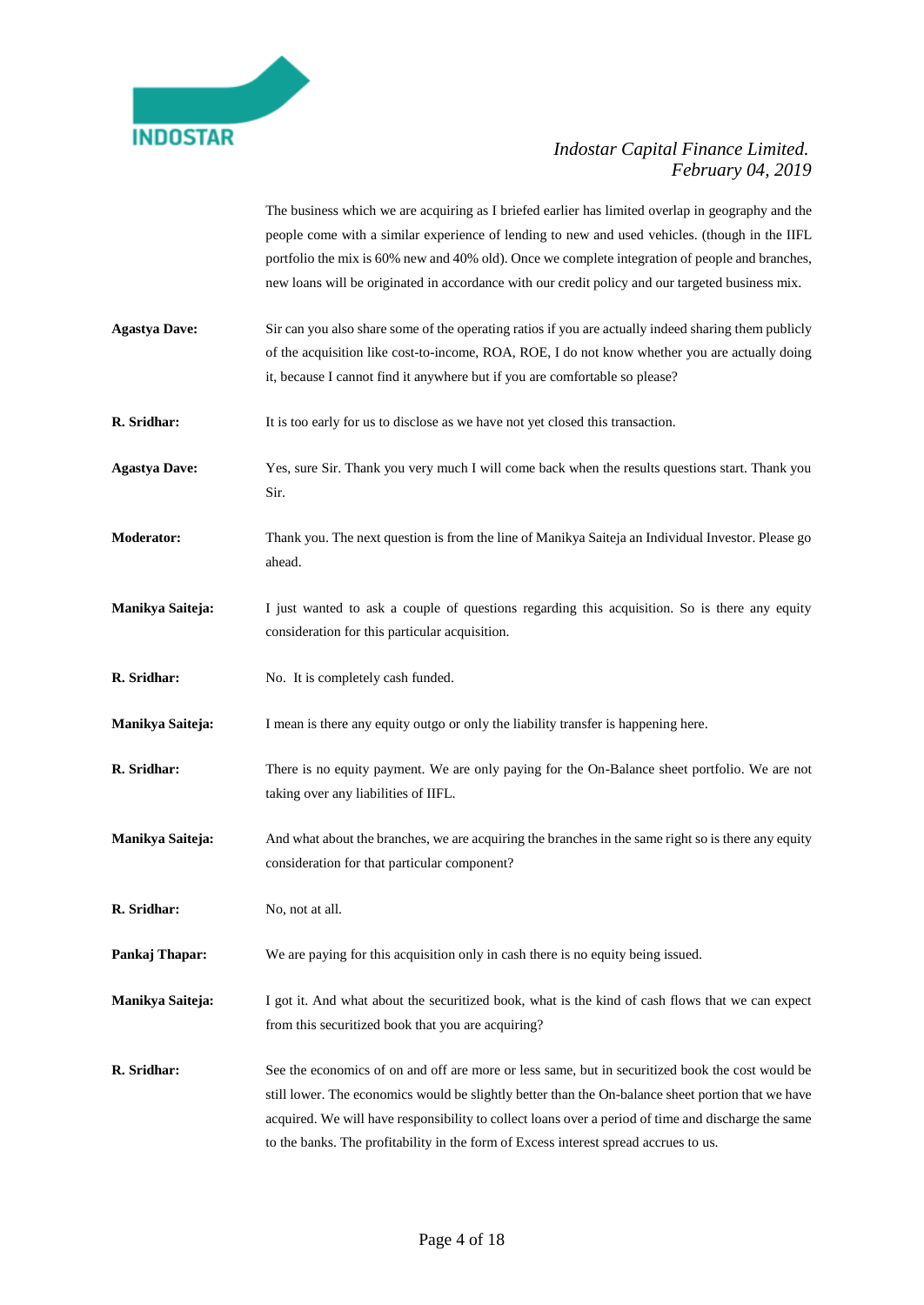

The business which we are acquiring as I briefed earlier has limited overlap in geography and the people come with a similar experience of lending to new and used vehicles. (though in the IIFL portfolio the mix is 60% new and 40% old). Once we complete integration of people and branches, new loans will be originated in accordance with our credit policy and our targeted business mix.

- **Agastya Dave:** Sir can you also share some of the operating ratios if you are actually indeed sharing them publicly of the acquisition like cost-to-income, ROA, ROE, I do not know whether you are actually doing it, because I cannot find it anywhere but if you are comfortable so please?
- **R. Sridhar:** It is too early for us to disclose as we have not yet closed this transaction.

**Agastya Dave:** Yes, sure Sir. Thank you very much I will come back when the results questions start. Thank you Sir.

- **Moderator:** Thank you. The next question is from the line of Manikya Saiteja an Individual Investor. Please go ahead.
- **Manikya Saiteja:** I just wanted to ask a couple of questions regarding this acquisition. So is there any equity consideration for this particular acquisition.
- **R. Sridhar:** No. It is completely cash funded.
- **Manikya Saiteja:** I mean is there any equity outgo or only the liability transfer is happening here.
- **R. Sridhar:** There is no equity payment. We are only paying for the On-Balance sheet portfolio. We are not taking over any liabilities of IIFL.
- **Manikya Saiteja:** And what about the branches, we are acquiring the branches in the same right so is there any equity consideration for that particular component?
- **R. Sridhar:** No, not at all.
- **Pankaj Thapar:** We are paying for this acquisition only in cash there is no equity being issued.
- **Manikya Saiteja:** I got it. And what about the securitized book, what is the kind of cash flows that we can expect from this securitized book that you are acquiring?
- **R. Sridhar:** See the economics of on and off are more or less same, but in securitized book the cost would be still lower. The economics would be slightly better than the On-balance sheet portion that we have acquired. We will have responsibility to collect loans over a period of time and discharge the same to the banks. The profitability in the form of Excess interest spread accrues to us.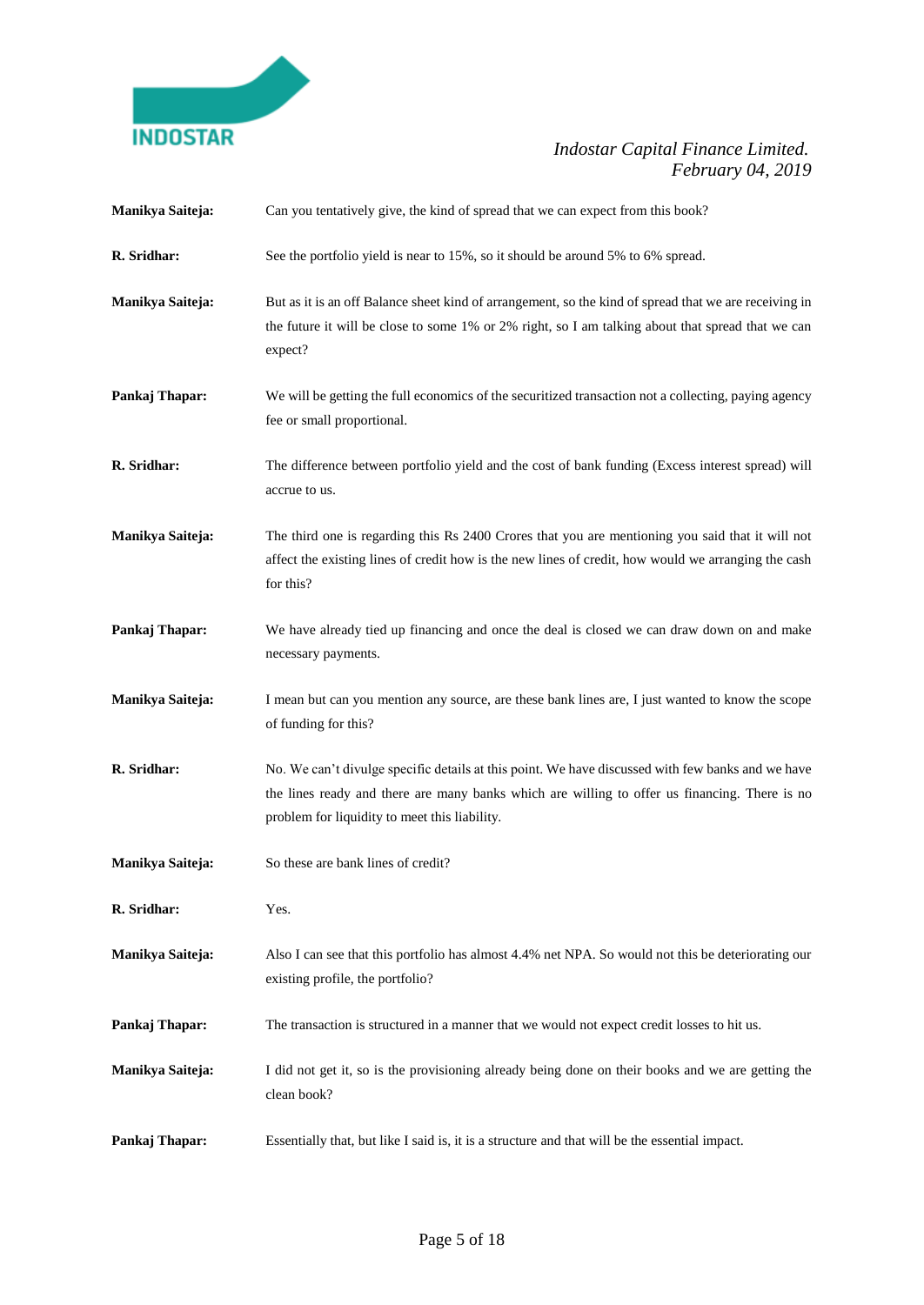

| Manikya Saiteja: | Can you tentatively give, the kind of spread that we can expect from this book?                                                                                                                                                                     |
|------------------|-----------------------------------------------------------------------------------------------------------------------------------------------------------------------------------------------------------------------------------------------------|
| R. Sridhar:      | See the portfolio yield is near to 15%, so it should be around 5% to 6% spread.                                                                                                                                                                     |
| Manikya Saiteja: | But as it is an off Balance sheet kind of arrangement, so the kind of spread that we are receiving in<br>the future it will be close to some 1% or 2% right, so I am talking about that spread that we can<br>expect?                               |
| Pankaj Thapar:   | We will be getting the full economics of the securitized transaction not a collecting, paying agency<br>fee or small proportional.                                                                                                                  |
| R. Sridhar:      | The difference between portfolio yield and the cost of bank funding (Excess interest spread) will<br>accrue to us.                                                                                                                                  |
| Manikya Saiteja: | The third one is regarding this Rs 2400 Crores that you are mentioning you said that it will not<br>affect the existing lines of credit how is the new lines of credit, how would we arranging the cash<br>for this?                                |
| Pankaj Thapar:   | We have already tied up financing and once the deal is closed we can draw down on and make<br>necessary payments.                                                                                                                                   |
| Manikya Saiteja: | I mean but can you mention any source, are these bank lines are, I just wanted to know the scope<br>of funding for this?                                                                                                                            |
| R. Sridhar:      | No. We can't divulge specific details at this point. We have discussed with few banks and we have<br>the lines ready and there are many banks which are willing to offer us financing. There is no<br>problem for liquidity to meet this liability. |
| Manikya Saiteja: | So these are bank lines of credit?                                                                                                                                                                                                                  |
| R. Sridhar:      | Yes.                                                                                                                                                                                                                                                |
| Manikya Saiteja: | Also I can see that this portfolio has almost 4.4% net NPA. So would not this be deteriorating our<br>existing profile, the portfolio?                                                                                                              |
| Pankaj Thapar:   | The transaction is structured in a manner that we would not expect credit losses to hit us.                                                                                                                                                         |
| Manikya Saiteja: | I did not get it, so is the provisioning already being done on their books and we are getting the<br>clean book?                                                                                                                                    |
| Pankaj Thapar:   | Essentially that, but like I said is, it is a structure and that will be the essential impact.                                                                                                                                                      |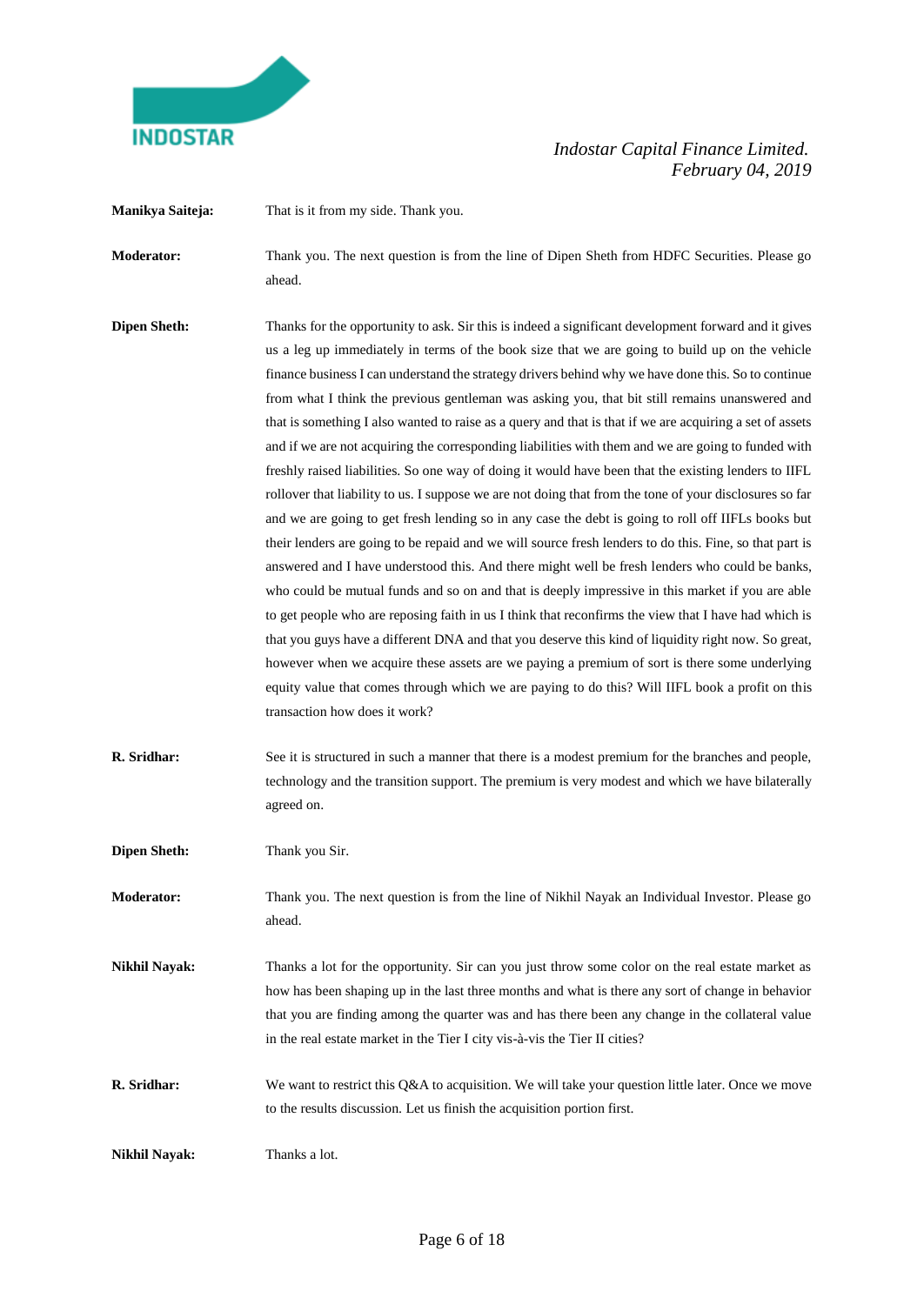

**Manikya Saiteja:** That is it from my side. Thank you.

**Moderator:** Thank you. The next question is from the line of Dipen Sheth from HDFC Securities. Please go ahead.

- **Dipen Sheth:** Thanks for the opportunity to ask. Sir this is indeed a significant development forward and it gives us a leg up immediately in terms of the book size that we are going to build up on the vehicle finance business I can understand the strategy drivers behind why we have done this. So to continue from what I think the previous gentleman was asking you, that bit still remains unanswered and that is something I also wanted to raise as a query and that is that if we are acquiring a set of assets and if we are not acquiring the corresponding liabilities with them and we are going to funded with freshly raised liabilities. So one way of doing it would have been that the existing lenders to IIFL rollover that liability to us. I suppose we are not doing that from the tone of your disclosures so far and we are going to get fresh lending so in any case the debt is going to roll off IIFLs books but their lenders are going to be repaid and we will source fresh lenders to do this. Fine, so that part is answered and I have understood this. And there might well be fresh lenders who could be banks, who could be mutual funds and so on and that is deeply impressive in this market if you are able to get people who are reposing faith in us I think that reconfirms the view that I have had which is that you guys have a different DNA and that you deserve this kind of liquidity right now. So great, however when we acquire these assets are we paying a premium of sort is there some underlying equity value that comes through which we are paying to do this? Will IIFL book a profit on this transaction how does it work?
- **R. Sridhar:** See it is structured in such a manner that there is a modest premium for the branches and people, technology and the transition support. The premium is very modest and which we have bilaterally agreed on.

**Dipen Sheth:** Thank you Sir.

**Moderator:** Thank you. The next question is from the line of Nikhil Nayak an Individual Investor. Please go ahead.

**Nikhil Nayak:** Thanks a lot for the opportunity. Sir can you just throw some color on the real estate market as how has been shaping up in the last three months and what is there any sort of change in behavior that you are finding among the quarter was and has there been any change in the collateral value in the real estate market in the Tier I city vis-à-vis the Tier II cities?

**R. Sridhar:** We want to restrict this Q&A to acquisition. We will take your question little later. Once we move to the results discussion. Let us finish the acquisition portion first.

**Nikhil Nayak:** Thanks a lot.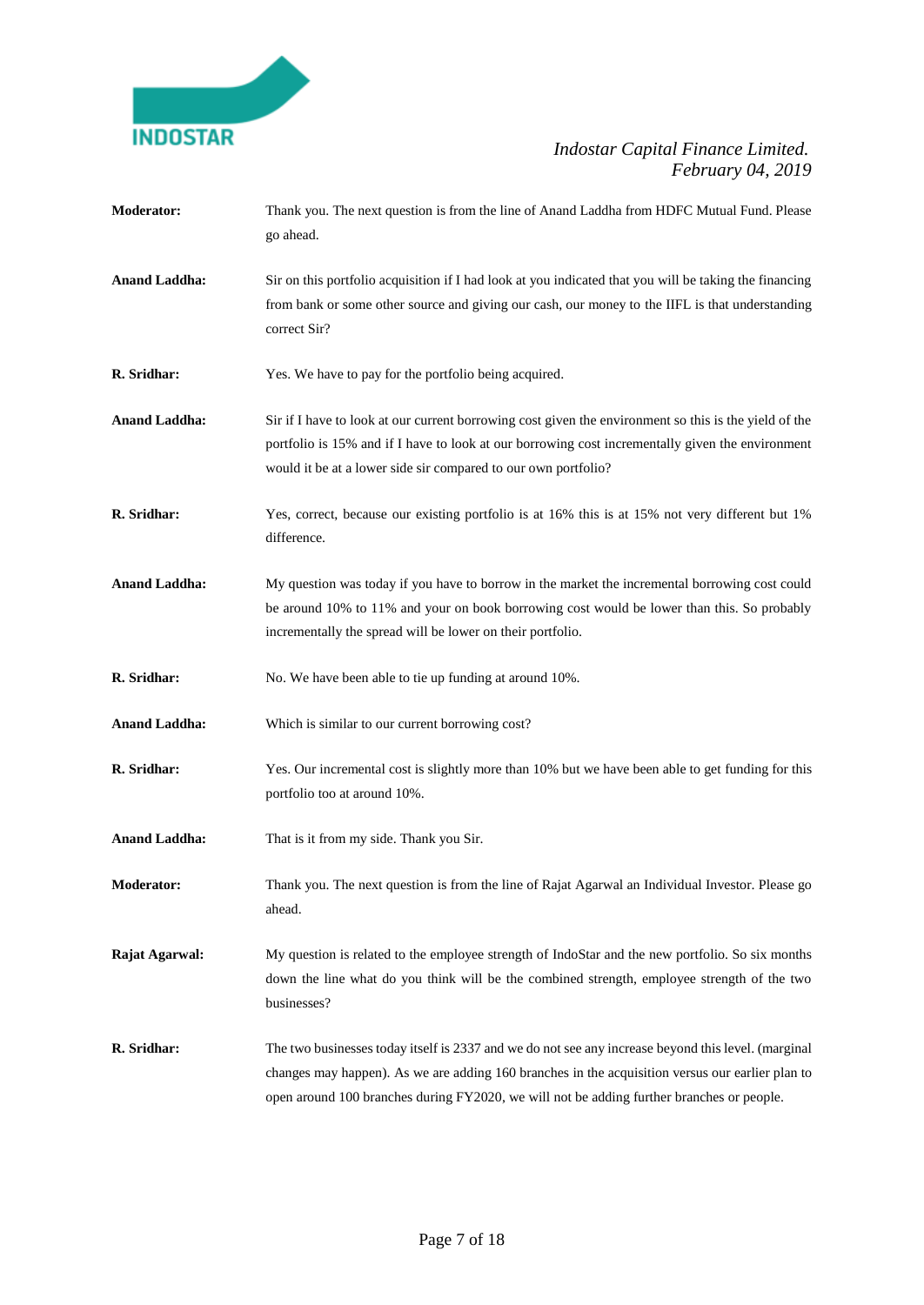

- **Moderator:** Thank you. The next question is from the line of Anand Laddha from HDFC Mutual Fund. Please go ahead.
- Anand Laddha: Sir on this portfolio acquisition if I had look at you indicated that you will be taking the financing from bank or some other source and giving our cash, our money to the IIFL is that understanding correct Sir?
- **R. Sridhar:** Yes. We have to pay for the portfolio being acquired.
- **Anand Laddha:** Sir if I have to look at our current borrowing cost given the environment so this is the yield of the portfolio is 15% and if I have to look at our borrowing cost incrementally given the environment would it be at a lower side sir compared to our own portfolio?
- **R. Sridhar:** Yes, correct, because our existing portfolio is at 16% this is at 15% not very different but 1% difference.
- **Anand Laddha:** My question was today if you have to borrow in the market the incremental borrowing cost could be around 10% to 11% and your on book borrowing cost would be lower than this. So probably incrementally the spread will be lower on their portfolio.
- **R. Sridhar:** No. We have been able to tie up funding at around 10%.
- **Anand Laddha:** Which is similar to our current borrowing cost?
- **R. Sridhar:** Yes. Our incremental cost is slightly more than 10% but we have been able to get funding for this portfolio too at around 10%.
- **Anand Laddha:** That is it from my side. Thank you Sir.
- **Moderator:** Thank you. The next question is from the line of Rajat Agarwal an Individual Investor. Please go ahead.

**Rajat Agarwal:** My question is related to the employee strength of IndoStar and the new portfolio. So six months down the line what do you think will be the combined strength, employee strength of the two businesses?

**R. Sridhar:** The two businesses today itself is 2337 and we do not see any increase beyond this level. (marginal changes may happen). As we are adding 160 branches in the acquisition versus our earlier plan to open around 100 branches during FY2020, we will not be adding further branches or people.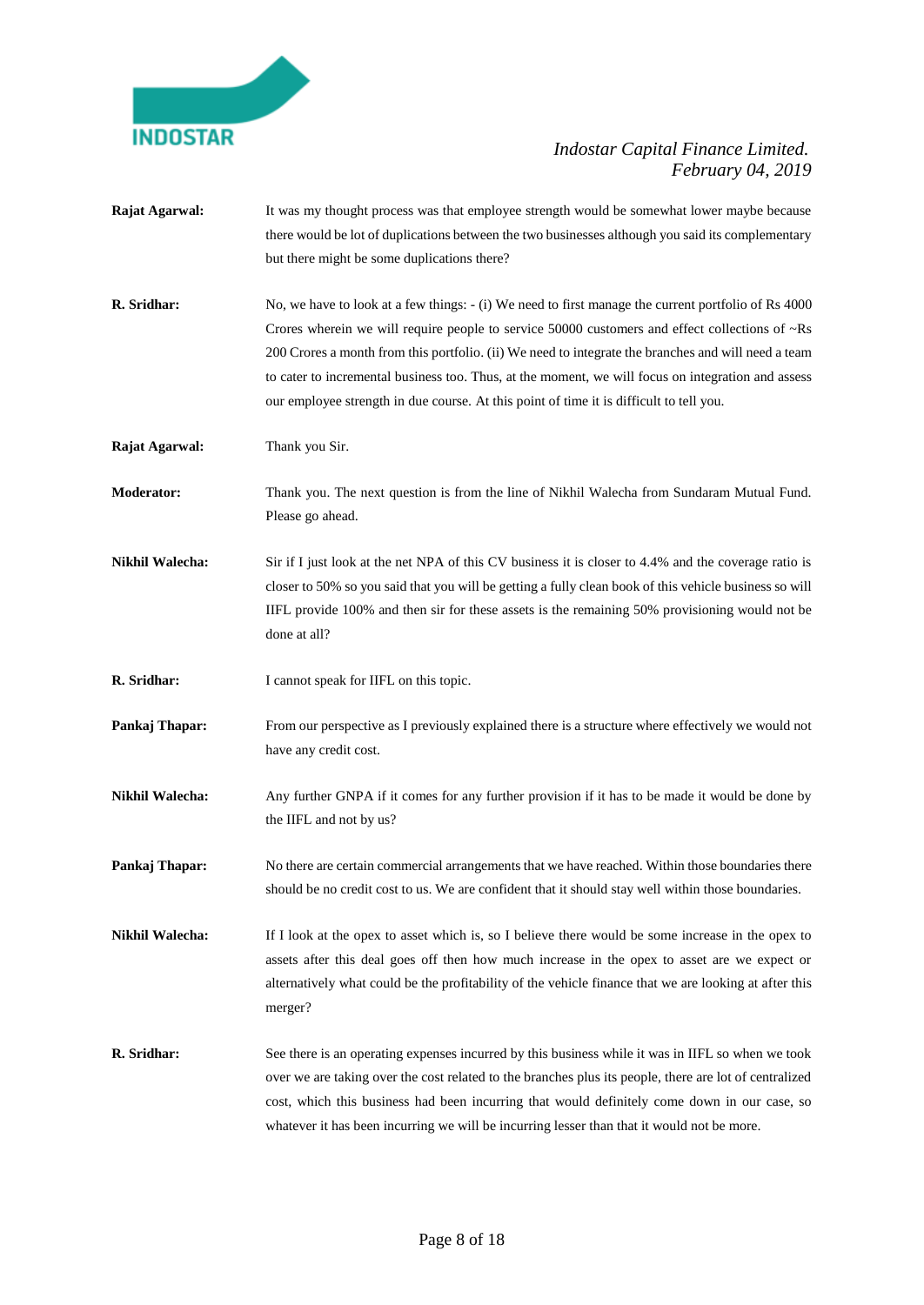

**Rajat Agarwal:** It was my thought process was that employee strength would be somewhat lower maybe because there would be lot of duplications between the two businesses although you said its complementary but there might be some duplications there? **R. Sridhar:** No, we have to look at a few things:  $-$  (i) We need to first manage the current portfolio of Rs 4000 Crores wherein we will require people to service 50000 customers and effect collections of ~Rs 200 Crores a month from this portfolio. (ii) We need to integrate the branches and will need a team to cater to incremental business too. Thus, at the moment, we will focus on integration and assess our employee strength in due course. At this point of time it is difficult to tell you. **Rajat Agarwal:** Thank you Sir. **Moderator:** Thank you. The next question is from the line of Nikhil Walecha from Sundaram Mutual Fund. Please go ahead. **Nikhil Walecha:** Sir if I just look at the net NPA of this CV business it is closer to 4.4% and the coverage ratio is closer to 50% so you said that you will be getting a fully clean book of this vehicle business so will IIFL provide 100% and then sir for these assets is the remaining 50% provisioning would not be done at all? **R. Sridhar:** I cannot speak for IIFL on this topic. **Pankaj Thapar:** From our perspective as I previously explained there is a structure where effectively we would not have any credit cost. **Nikhil Walecha:** Any further GNPA if it comes for any further provision if it has to be made it would be done by the IIFL and not by us? **Pankaj Thapar:** No there are certain commercial arrangements that we have reached. Within those boundaries there should be no credit cost to us. We are confident that it should stay well within those boundaries. **Nikhil Walecha:** If I look at the opex to asset which is, so I believe there would be some increase in the opex to assets after this deal goes off then how much increase in the opex to asset are we expect or alternatively what could be the profitability of the vehicle finance that we are looking at after this merger? **R. Sridhar:** See there is an operating expenses incurred by this business while it was in IIFL so when we took over we are taking over the cost related to the branches plus its people, there are lot of centralized cost, which this business had been incurring that would definitely come down in our case, so whatever it has been incurring we will be incurring lesser than that it would not be more.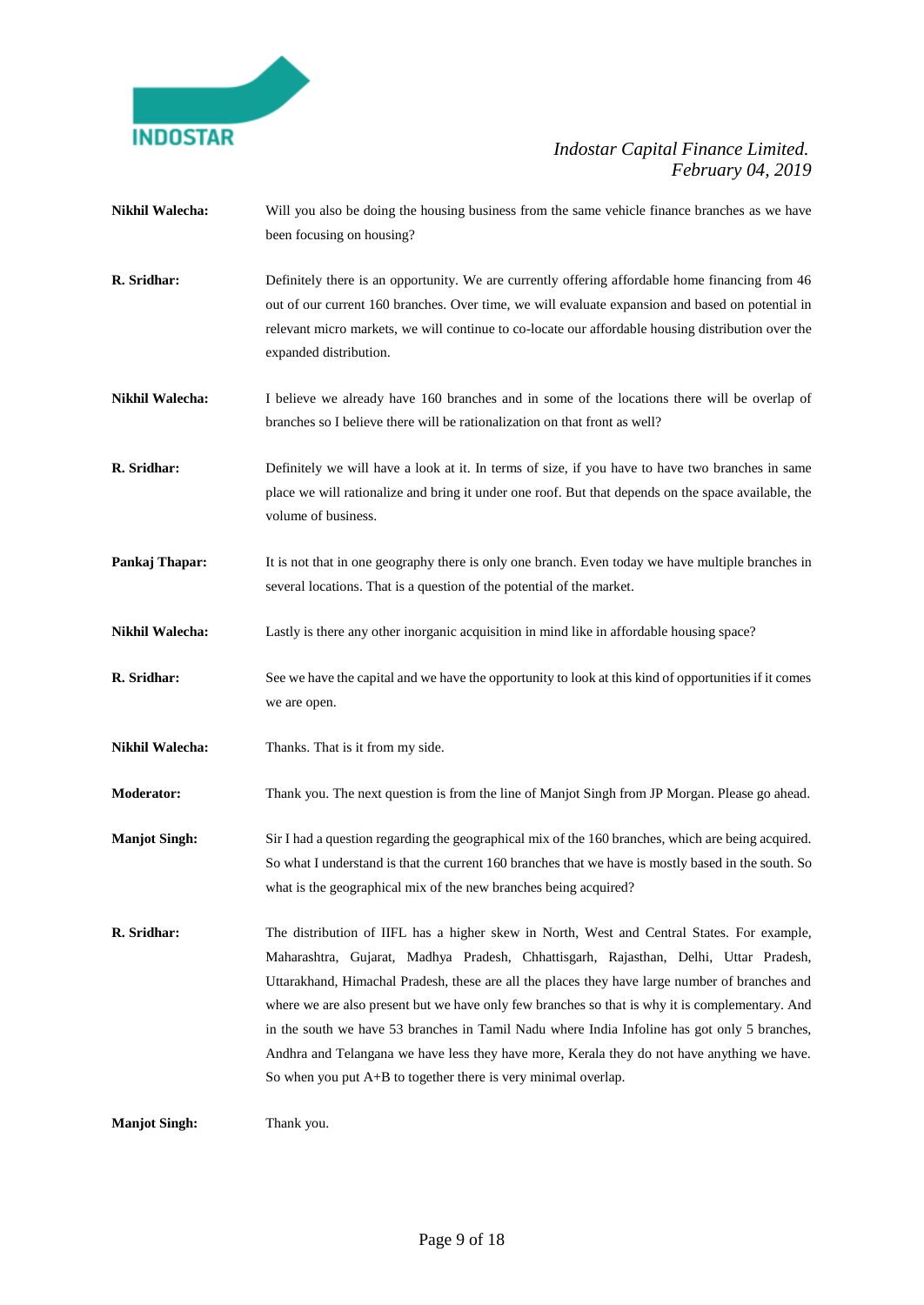

- **Nikhil Walecha:** Will you also be doing the housing business from the same vehicle finance branches as we have been focusing on housing?
- **R. Sridhar:** Definitely there is an opportunity. We are currently offering affordable home financing from 46 out of our current 160 branches. Over time, we will evaluate expansion and based on potential in relevant micro markets, we will continue to co-locate our affordable housing distribution over the expanded distribution.
- **Nikhil Walecha:** I believe we already have 160 branches and in some of the locations there will be overlap of branches so I believe there will be rationalization on that front as well?
- **R. Sridhar:** Definitely we will have a look at it. In terms of size, if you have to have two branches in same place we will rationalize and bring it under one roof. But that depends on the space available, the volume of business.
- **Pankaj Thapar:** It is not that in one geography there is only one branch. Even today we have multiple branches in several locations. That is a question of the potential of the market.
- **Nikhil Walecha:** Lastly is there any other inorganic acquisition in mind like in affordable housing space?
- **R. Sridhar:** See we have the capital and we have the opportunity to look at this kind of opportunities if it comes we are open.
- **Nikhil Walecha:** Thanks. That is it from my side.
- **Moderator:** Thank you. The next question is from the line of Manjot Singh from JP Morgan. Please go ahead.
- **Manjot Singh:** Sir I had a question regarding the geographical mix of the 160 branches, which are being acquired. So what I understand is that the current 160 branches that we have is mostly based in the south. So what is the geographical mix of the new branches being acquired?
- **R. Sridhar:** The distribution of IIFL has a higher skew in North, West and Central States. For example, Maharashtra, Gujarat, Madhya Pradesh, Chhattisgarh, Rajasthan, Delhi, Uttar Pradesh, Uttarakhand, Himachal Pradesh, these are all the places they have large number of branches and where we are also present but we have only few branches so that is why it is complementary. And in the south we have 53 branches in Tamil Nadu where India Infoline has got only 5 branches, Andhra and Telangana we have less they have more, Kerala they do not have anything we have. So when you put A+B to together there is very minimal overlap.

**Manjot Singh:** Thank you.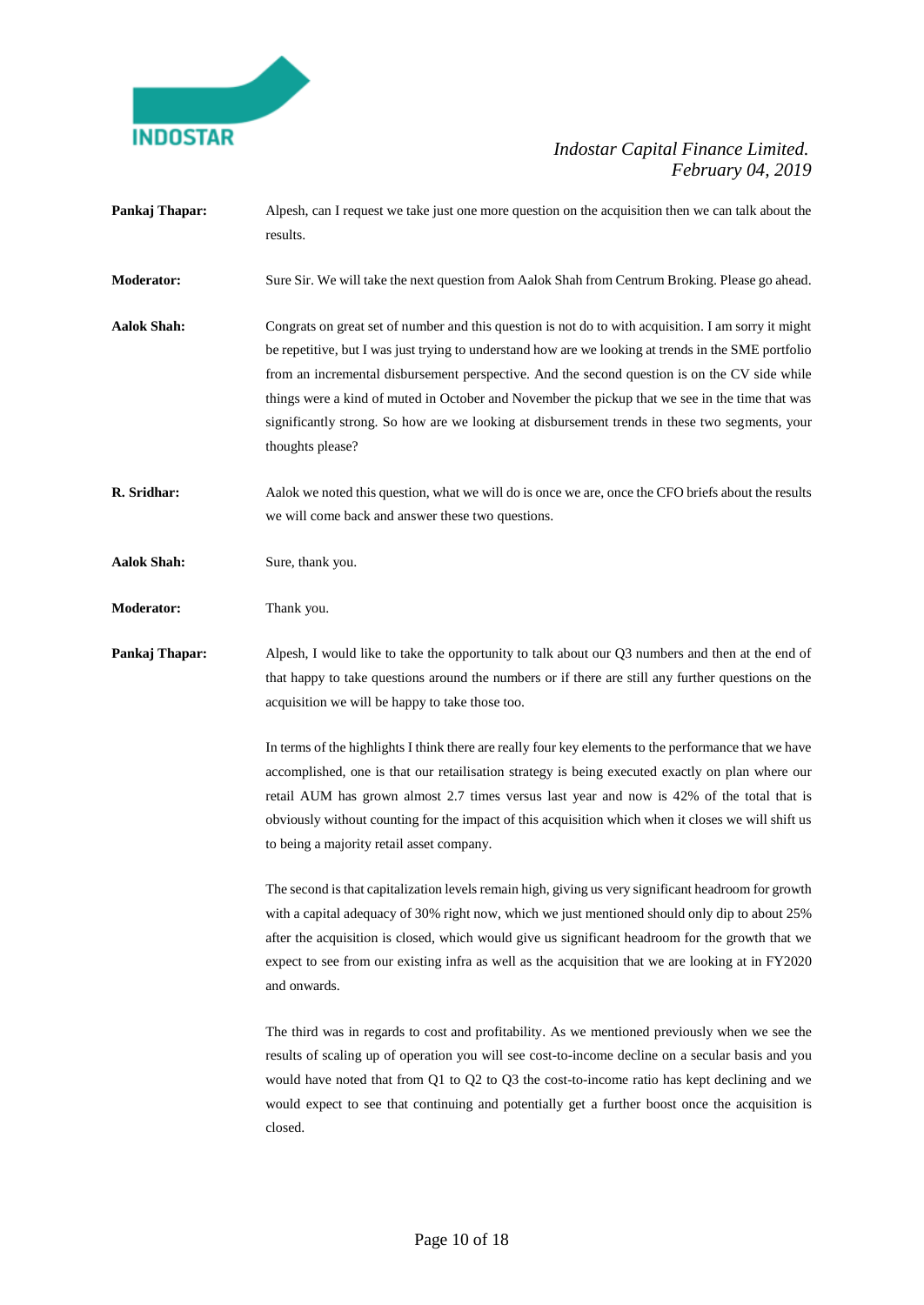

- **Pankaj Thapar:** Alpesh, can I request we take just one more question on the acquisition then we can talk about the results.
- **Moderator:** Sure Sir. We will take the next question from Aalok Shah from Centrum Broking. Please go ahead.
- **Aalok Shah:** Congrats on great set of number and this question is not do to with acquisition. I am sorry it might be repetitive, but I was just trying to understand how are we looking at trends in the SME portfolio from an incremental disbursement perspective. And the second question is on the CV side while things were a kind of muted in October and November the pickup that we see in the time that was significantly strong. So how are we looking at disbursement trends in these two segments, your thoughts please?
- **R. Sridhar:** Aalok we noted this question, what we will do is once we are, once the CFO briefs about the results we will come back and answer these two questions.
- **Aalok Shah:** Sure, thank you.
- **Moderator:** Thank you.
- **Pankaj Thapar:** Alpesh, I would like to take the opportunity to talk about our Q3 numbers and then at the end of that happy to take questions around the numbers or if there are still any further questions on the acquisition we will be happy to take those too.

In terms of the highlights I think there are really four key elements to the performance that we have accomplished, one is that our retailisation strategy is being executed exactly on plan where our retail AUM has grown almost 2.7 times versus last year and now is 42% of the total that is obviously without counting for the impact of this acquisition which when it closes we will shift us to being a majority retail asset company.

The second is that capitalization levels remain high, giving us very significant headroom for growth with a capital adequacy of 30% right now, which we just mentioned should only dip to about 25% after the acquisition is closed, which would give us significant headroom for the growth that we expect to see from our existing infra as well as the acquisition that we are looking at in FY2020 and onwards.

The third was in regards to cost and profitability. As we mentioned previously when we see the results of scaling up of operation you will see cost-to-income decline on a secular basis and you would have noted that from Q1 to Q2 to Q3 the cost-to-income ratio has kept declining and we would expect to see that continuing and potentially get a further boost once the acquisition is closed.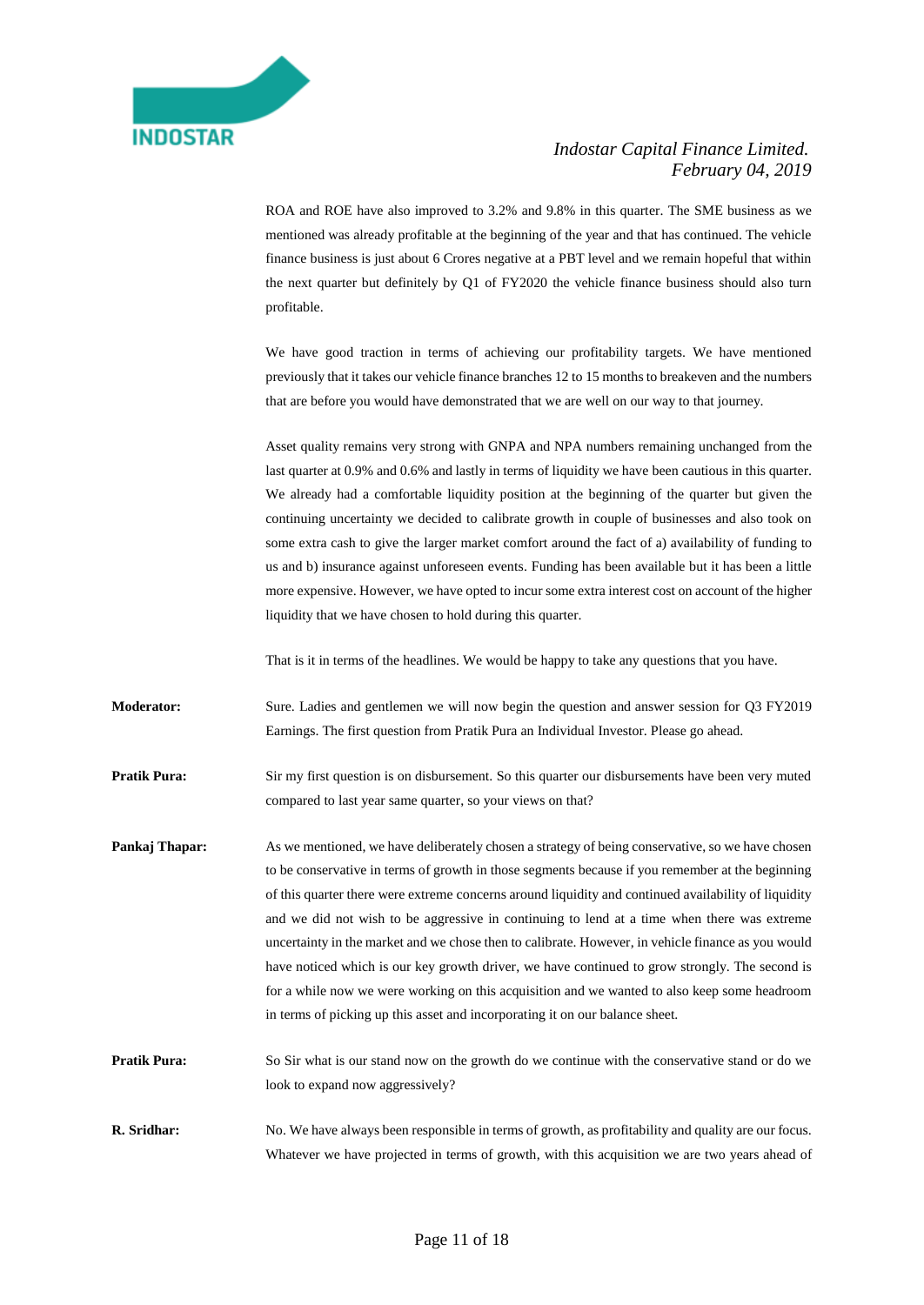ROA and ROE have also improved to 3.2% and 9.8% in this quarter. The SME business as we mentioned was already profitable at the beginning of the year and that has continued. The vehicle finance business is just about 6 Crores negative at a PBT level and we remain hopeful that within the next quarter but definitely by Q1 of FY2020 the vehicle finance business should also turn profitable.

We have good traction in terms of achieving our profitability targets. We have mentioned previously that it takes our vehicle finance branches 12 to 15 months to breakeven and the numbers that are before you would have demonstrated that we are well on our way to that journey.

Asset quality remains very strong with GNPA and NPA numbers remaining unchanged from the last quarter at 0.9% and 0.6% and lastly in terms of liquidity we have been cautious in this quarter. We already had a comfortable liquidity position at the beginning of the quarter but given the continuing uncertainty we decided to calibrate growth in couple of businesses and also took on some extra cash to give the larger market comfort around the fact of a) availability of funding to us and b) insurance against unforeseen events. Funding has been available but it has been a little more expensive. However, we have opted to incur some extra interest cost on account of the higher liquidity that we have chosen to hold during this quarter.

That is it in terms of the headlines. We would be happy to take any questions that you have.

**Moderator:** Sure. Ladies and gentlemen we will now begin the question and answer session for Q3 FY2019 Earnings. The first question from Pratik Pura an Individual Investor. Please go ahead.

**Pratik Pura:** Sir my first question is on disbursement. So this quarter our disbursements have been very muted compared to last year same quarter, so your views on that?

- **Pankaj Thapar:** As we mentioned, we have deliberately chosen a strategy of being conservative, so we have chosen to be conservative in terms of growth in those segments because if you remember at the beginning of this quarter there were extreme concerns around liquidity and continued availability of liquidity and we did not wish to be aggressive in continuing to lend at a time when there was extreme uncertainty in the market and we chose then to calibrate. However, in vehicle finance as you would have noticed which is our key growth driver, we have continued to grow strongly. The second is for a while now we were working on this acquisition and we wanted to also keep some headroom in terms of picking up this asset and incorporating it on our balance sheet.
- **Pratik Pura:** So Sir what is our stand now on the growth do we continue with the conservative stand or do we look to expand now aggressively?
- **R. Sridhar:** No. We have always been responsible in terms of growth, as profitability and quality are our focus. Whatever we have projected in terms of growth, with this acquisition we are two years ahead of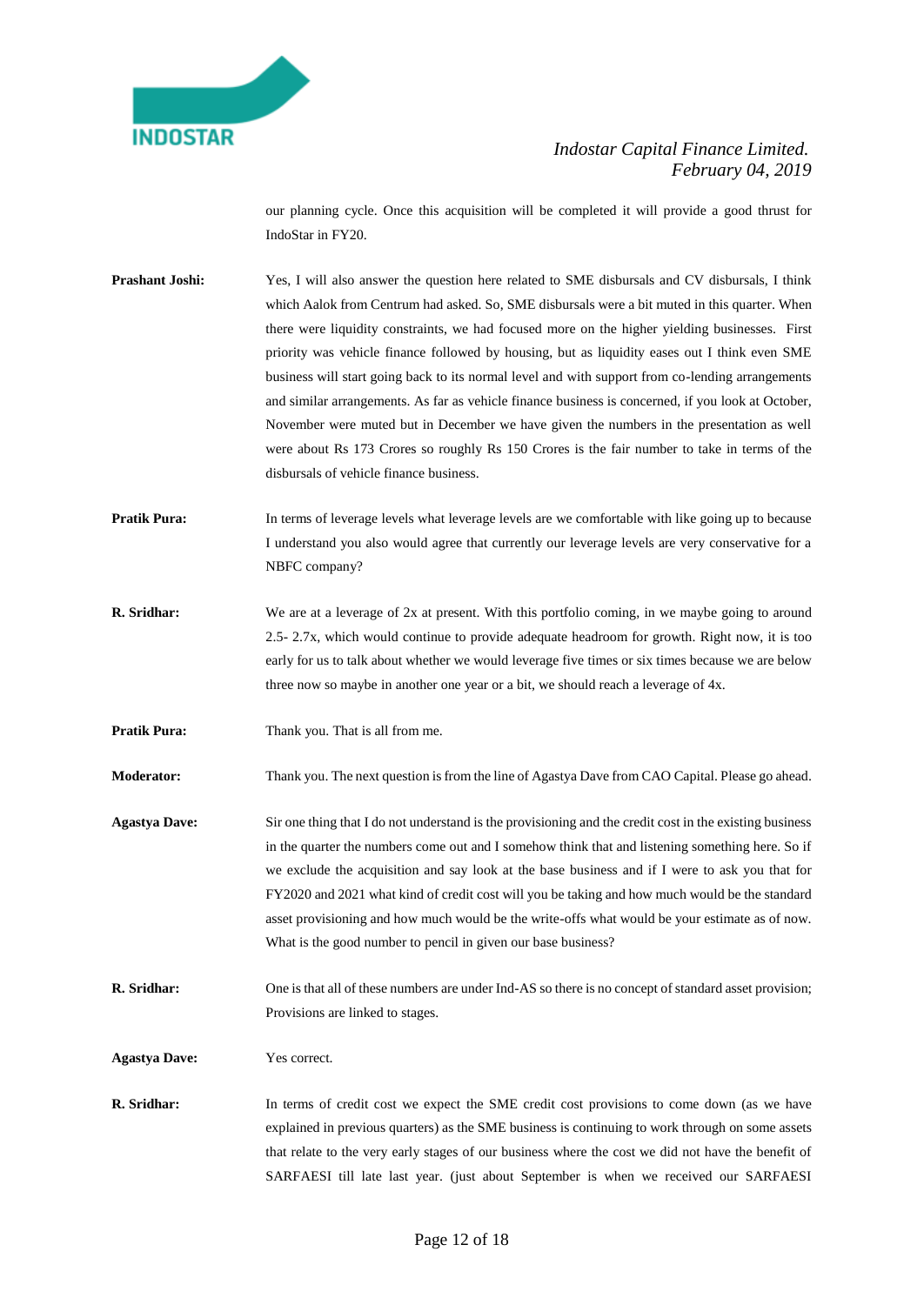

our planning cycle. Once this acquisition will be completed it will provide a good thrust for IndoStar in FY20.

- **Prashant Joshi:** Yes, I will also answer the question here related to SME disbursals and CV disbursals, I think which Aalok from Centrum had asked. So, SME disbursals were a bit muted in this quarter. When there were liquidity constraints, we had focused more on the higher yielding businesses. First priority was vehicle finance followed by housing, but as liquidity eases out I think even SME business will start going back to its normal level and with support from co-lending arrangements and similar arrangements. As far as vehicle finance business is concerned, if you look at October, November were muted but in December we have given the numbers in the presentation as well were about Rs 173 Crores so roughly Rs 150 Crores is the fair number to take in terms of the disbursals of vehicle finance business.
- **Pratik Pura:** In terms of leverage levels what leverage levels are we comfortable with like going up to because I understand you also would agree that currently our leverage levels are very conservative for a NBFC company?
- **R. Sridhar:** We are at a leverage of 2x at present. With this portfolio coming, in we maybe going to around 2.5- 2.7x, which would continue to provide adequate headroom for growth. Right now, it is too early for us to talk about whether we would leverage five times or six times because we are below three now so maybe in another one year or a bit, we should reach a leverage of 4x.
- **Pratik Pura:** Thank you. That is all from me.

**Moderator:** Thank you. The next question is from the line of Agastya Dave from CAO Capital. Please go ahead.

- **Agastya Dave:** Sir one thing that I do not understand is the provisioning and the credit cost in the existing business in the quarter the numbers come out and I somehow think that and listening something here. So if we exclude the acquisition and say look at the base business and if I were to ask you that for FY2020 and 2021 what kind of credit cost will you be taking and how much would be the standard asset provisioning and how much would be the write-offs what would be your estimate as of now. What is the good number to pencil in given our base business?
- **R. Sridhar:** One is that all of these numbers are under Ind-AS so there is no concept of standard asset provision; Provisions are linked to stages.
- **Agastya Dave:** Yes correct.
- **R. Sridhar:** In terms of credit cost we expect the SME credit cost provisions to come down (as we have explained in previous quarters) as the SME business is continuing to work through on some assets that relate to the very early stages of our business where the cost we did not have the benefit of SARFAESI till late last year. (just about September is when we received our SARFAESI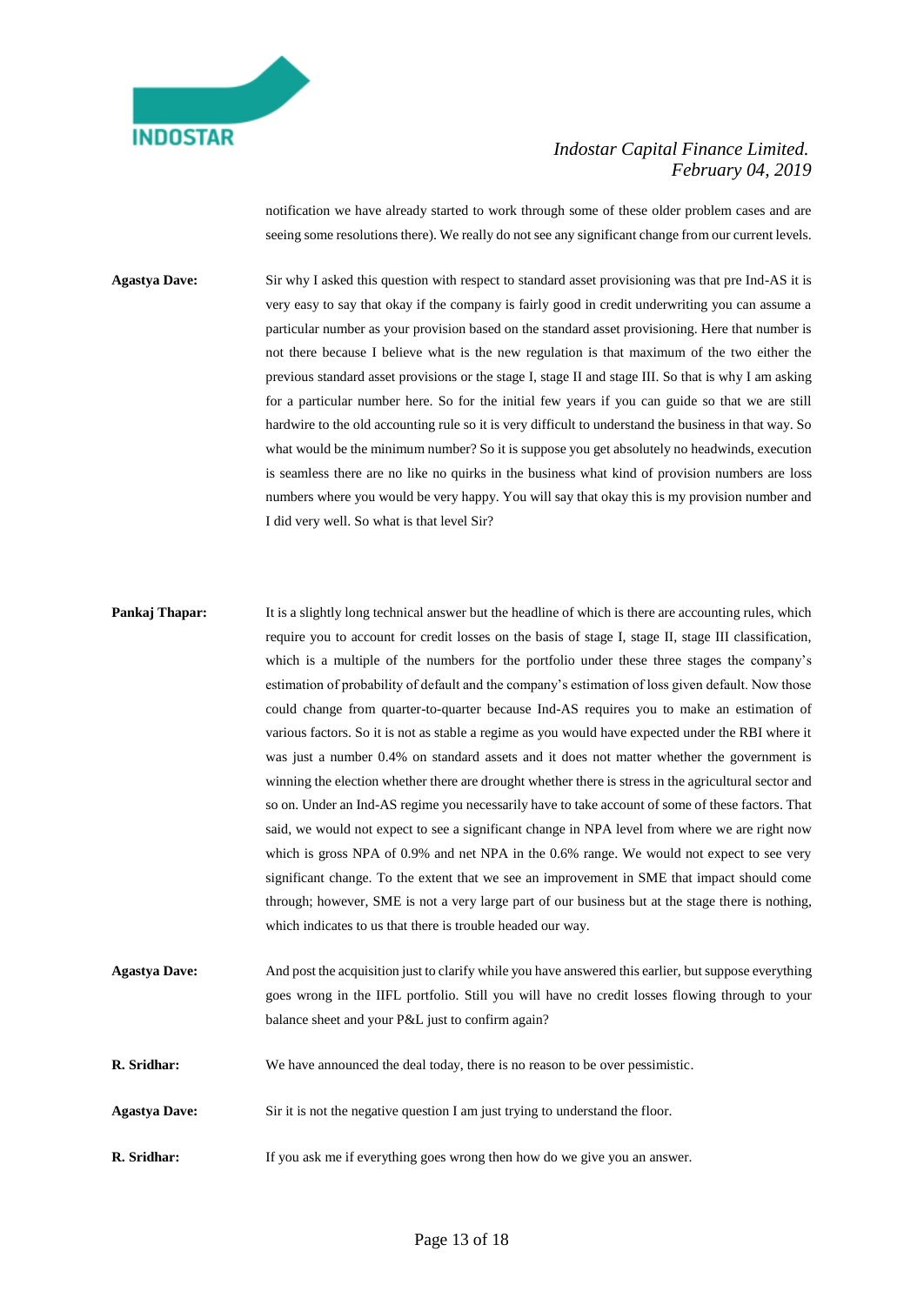

notification we have already started to work through some of these older problem cases and are seeing some resolutions there). We really do not see any significant change from our current levels.

**Agastya Dave:** Sir why I asked this question with respect to standard asset provisioning was that pre Ind-AS it is very easy to say that okay if the company is fairly good in credit underwriting you can assume a particular number as your provision based on the standard asset provisioning. Here that number is not there because I believe what is the new regulation is that maximum of the two either the previous standard asset provisions or the stage I, stage II and stage III. So that is why I am asking for a particular number here. So for the initial few years if you can guide so that we are still hardwire to the old accounting rule so it is very difficult to understand the business in that way. So what would be the minimum number? So it is suppose you get absolutely no headwinds, execution is seamless there are no like no quirks in the business what kind of provision numbers are loss numbers where you would be very happy. You will say that okay this is my provision number and I did very well. So what is that level Sir?

- **Pankaj Thapar:** It is a slightly long technical answer but the headline of which is there are accounting rules, which require you to account for credit losses on the basis of stage I, stage II, stage III classification, which is a multiple of the numbers for the portfolio under these three stages the company's estimation of probability of default and the company's estimation of loss given default. Now those could change from quarter-to-quarter because Ind-AS requires you to make an estimation of various factors. So it is not as stable a regime as you would have expected under the RBI where it was just a number 0.4% on standard assets and it does not matter whether the government is winning the election whether there are drought whether there is stress in the agricultural sector and so on. Under an Ind-AS regime you necessarily have to take account of some of these factors. That said, we would not expect to see a significant change in NPA level from where we are right now which is gross NPA of 0.9% and net NPA in the 0.6% range. We would not expect to see very significant change. To the extent that we see an improvement in SME that impact should come through; however, SME is not a very large part of our business but at the stage there is nothing, which indicates to us that there is trouble headed our way. **Agastya Dave:** And post the acquisition just to clarify while you have answered this earlier, but suppose everything
- goes wrong in the IIFL portfolio. Still you will have no credit losses flowing through to your balance sheet and your P&L just to confirm again?
- **R. Sridhar:** We have announced the deal today, there is no reason to be over pessimistic.
- **Agastya Dave:** Sir it is not the negative question I am just trying to understand the floor.
- **R. Sridhar:** If you ask me if everything goes wrong then how do we give you an answer.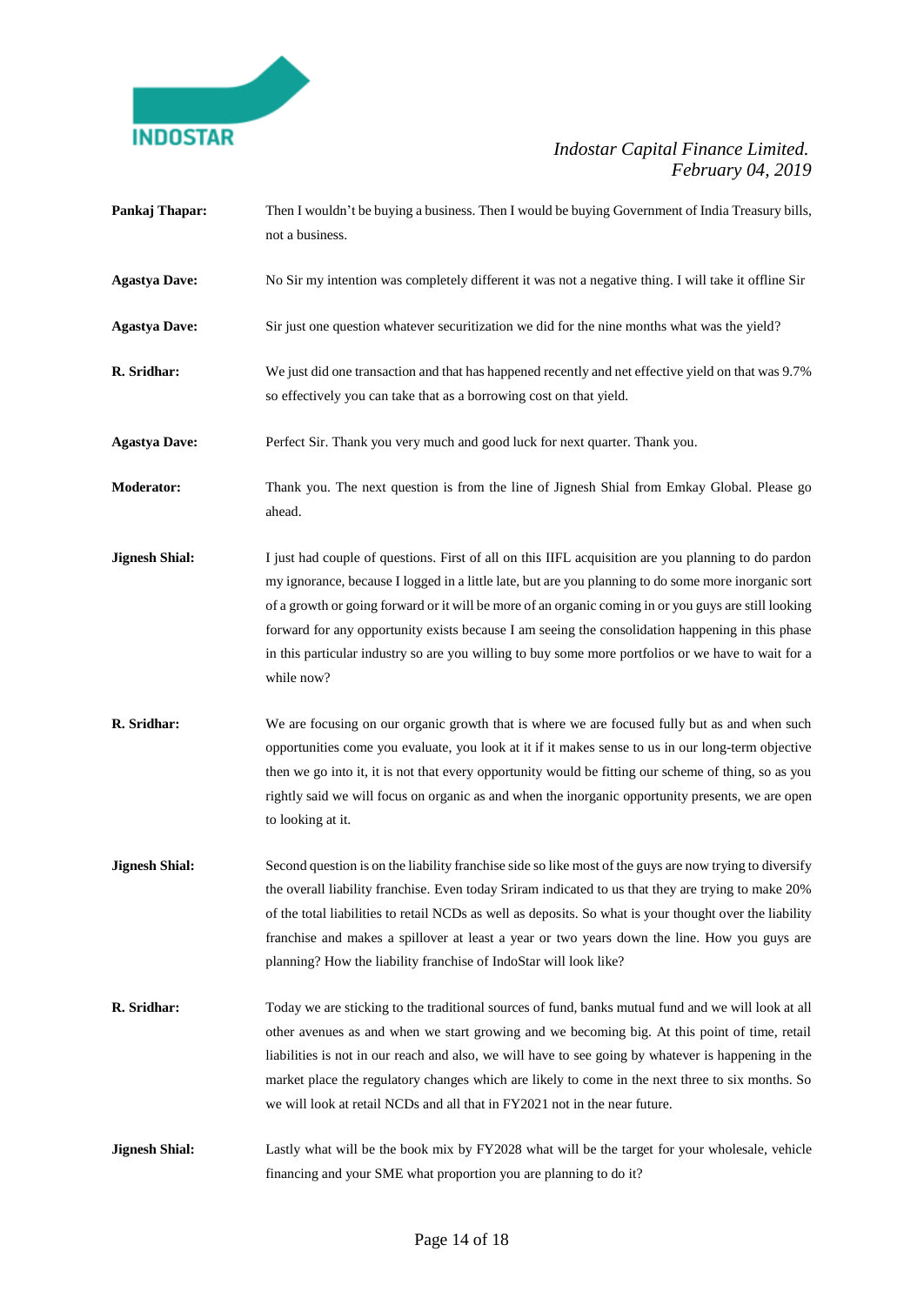

- **Pankaj Thapar:** Then I wouldn't be buying a business. Then I would be buying Government of India Treasury bills, not a business.
- **Agastya Dave:** No Sir my intention was completely different it was not a negative thing. I will take it offline Sir
- **Agastya Dave:** Sir just one question whatever securitization we did for the nine months what was the yield?
- **R. Sridhar:** We just did one transaction and that has happened recently and net effective yield on that was 9.7% so effectively you can take that as a borrowing cost on that yield.
- **Agastya Dave:** Perfect Sir. Thank you very much and good luck for next quarter. Thank you.
- **Moderator:** Thank you. The next question is from the line of Jignesh Shial from Emkay Global. Please go ahead.
- **Jignesh Shial:** I just had couple of questions. First of all on this IIFL acquisition are you planning to do pardon my ignorance, because I logged in a little late, but are you planning to do some more inorganic sort of a growth or going forward or it will be more of an organic coming in or you guys are still looking forward for any opportunity exists because I am seeing the consolidation happening in this phase in this particular industry so are you willing to buy some more portfolios or we have to wait for a while now?
- **R. Sridhar:** We are focusing on our organic growth that is where we are focused fully but as and when such opportunities come you evaluate, you look at it if it makes sense to us in our long-term objective then we go into it, it is not that every opportunity would be fitting our scheme of thing, so as you rightly said we will focus on organic as and when the inorganic opportunity presents, we are open to looking at it.
- **Jignesh Shial:** Second question is on the liability franchise side so like most of the guys are now trying to diversify the overall liability franchise. Even today Sriram indicated to us that they are trying to make 20% of the total liabilities to retail NCDs as well as deposits. So what is your thought over the liability franchise and makes a spillover at least a year or two years down the line. How you guys are planning? How the liability franchise of IndoStar will look like?
- **R. Sridhar:** Today we are sticking to the traditional sources of fund, banks mutual fund and we will look at all other avenues as and when we start growing and we becoming big. At this point of time, retail liabilities is not in our reach and also, we will have to see going by whatever is happening in the market place the regulatory changes which are likely to come in the next three to six months. So we will look at retail NCDs and all that in FY2021 not in the near future.
- **Jignesh Shial:** Lastly what will be the book mix by FY2028 what will be the target for your wholesale, vehicle financing and your SME what proportion you are planning to do it?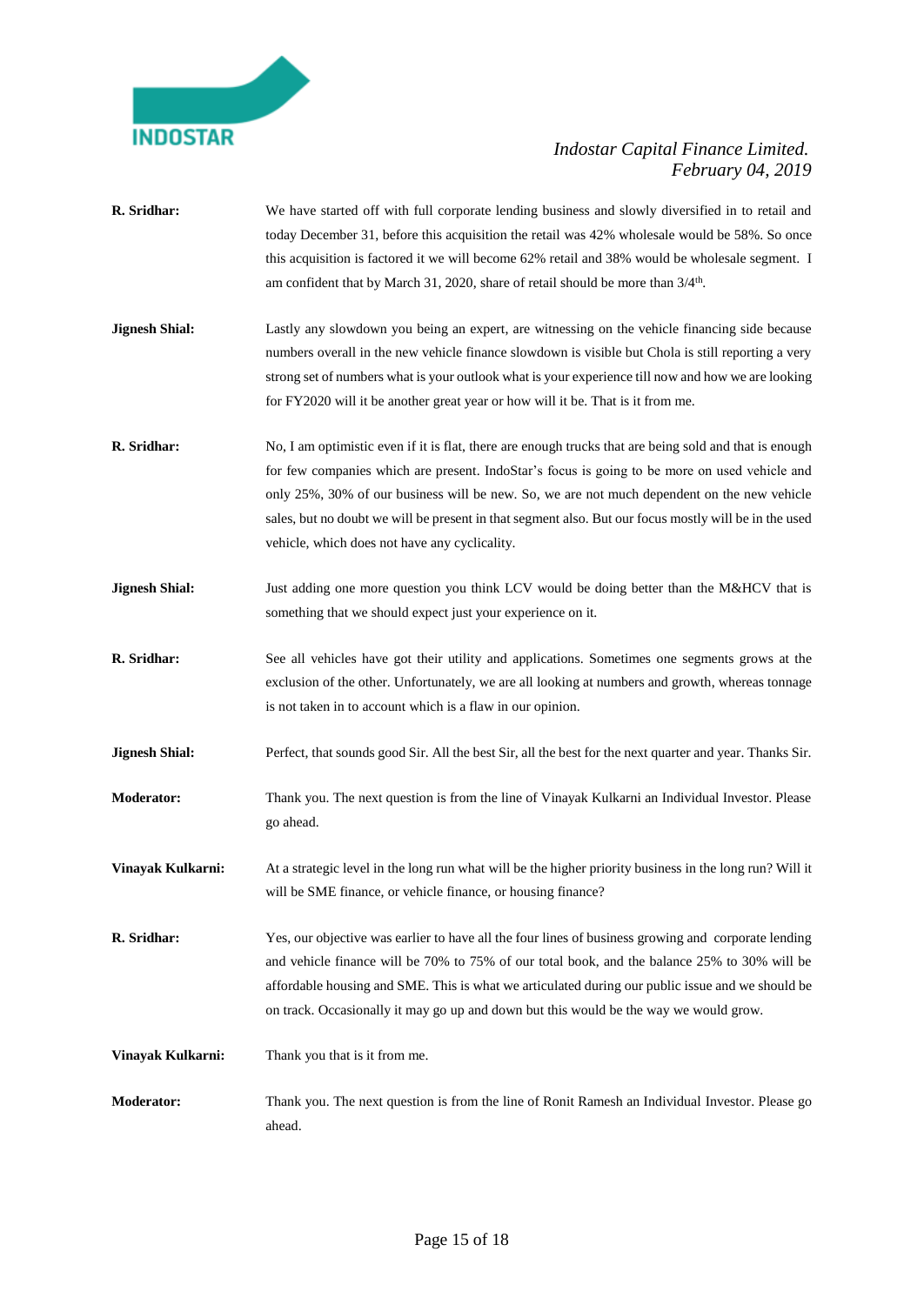

**R. Sridhar:** We have started off with full corporate lending business and slowly diversified in to retail and today December 31, before this acquisition the retail was 42% wholesale would be 58%. So once this acquisition is factored it we will become 62% retail and 38% would be wholesale segment. I am confident that by March 31, 2020, share of retail should be more than  $3/4^{\text{th}}$ . **Jignesh Shial:** Lastly any slowdown you being an expert, are witnessing on the vehicle financing side because numbers overall in the new vehicle finance slowdown is visible but Chola is still reporting a very strong set of numbers what is your outlook what is your experience till now and how we are looking for FY2020 will it be another great year or how will it be. That is it from me. **R. Sridhar:** No, I am optimistic even if it is flat, there are enough trucks that are being sold and that is enough for few companies which are present. IndoStar's focus is going to be more on used vehicle and only 25%, 30% of our business will be new. So, we are not much dependent on the new vehicle sales, but no doubt we will be present in that segment also. But our focus mostly will be in the used vehicle, which does not have any cyclicality. **Jignesh Shial:** Just adding one more question you think LCV would be doing better than the M&HCV that is something that we should expect just your experience on it. **R. Sridhar:** See all vehicles have got their utility and applications. Sometimes one segments grows at the exclusion of the other. Unfortunately, we are all looking at numbers and growth, whereas tonnage is not taken in to account which is a flaw in our opinion. **Jignesh Shial:** Perfect, that sounds good Sir. All the best Sir, all the best for the next quarter and year. Thanks Sir. **Moderator:** Thank you. The next question is from the line of Vinayak Kulkarni an Individual Investor. Please go ahead. **Vinayak Kulkarni:** At a strategic level in the long run what will be the higher priority business in the long run? Will it will be SME finance, or vehicle finance, or housing finance? **R. Sridhar:** Yes, our objective was earlier to have all the four lines of business growing and corporate lending and vehicle finance will be 70% to 75% of our total book, and the balance 25% to 30% will be affordable housing and SME. This is what we articulated during our public issue and we should be on track. Occasionally it may go up and down but this would be the way we would grow. **Vinayak Kulkarni:** Thank you that is it from me. **Moderator:** Thank you. The next question is from the line of Ronit Ramesh an Individual Investor. Please go ahead.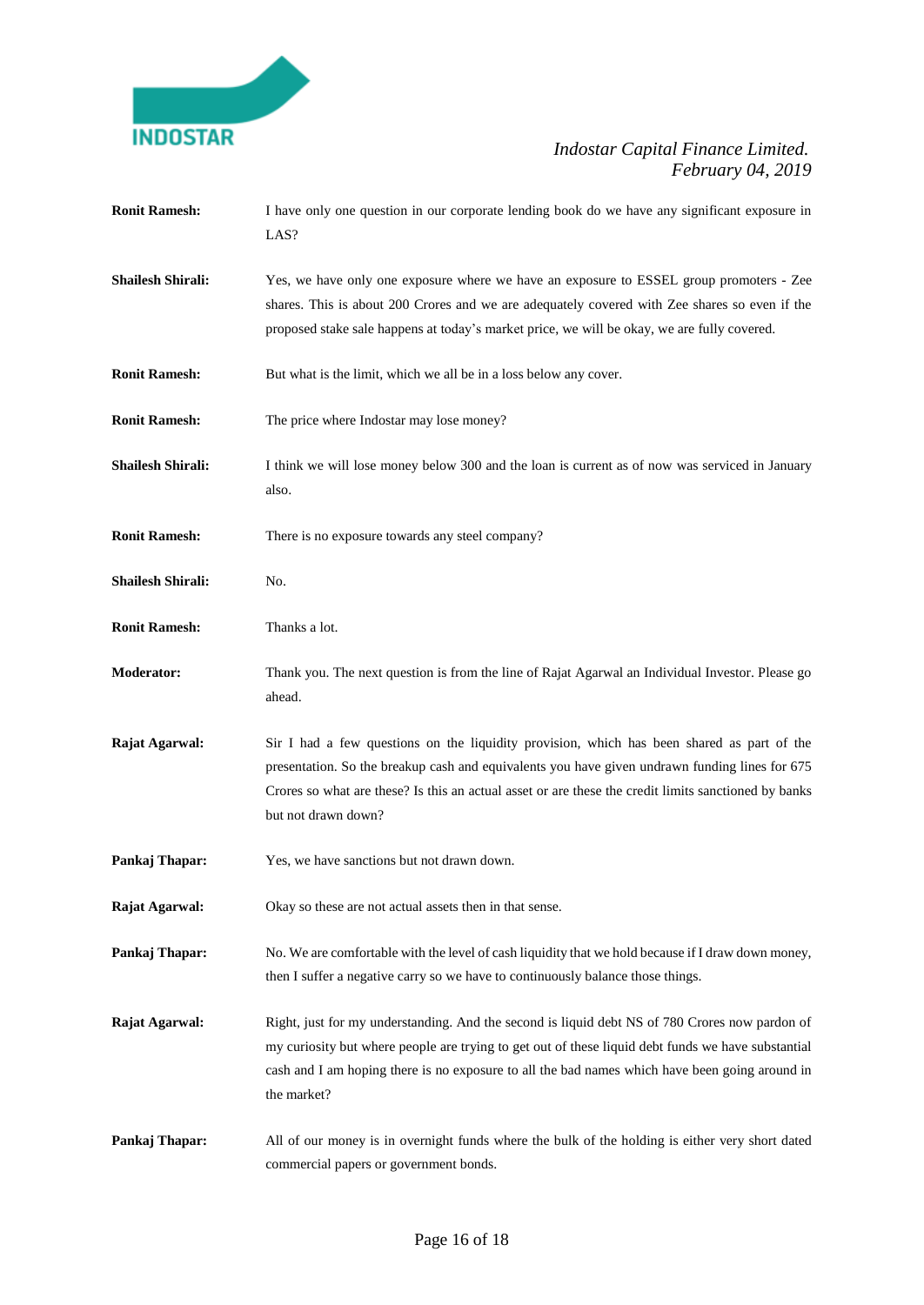

| <b>Ronit Ramesh:</b>     | I have only one question in our corporate lending book do we have any significant exposure in<br>LAS?                                                                                                                                                                                                                       |
|--------------------------|-----------------------------------------------------------------------------------------------------------------------------------------------------------------------------------------------------------------------------------------------------------------------------------------------------------------------------|
| <b>Shailesh Shirali:</b> | Yes, we have only one exposure where we have an exposure to ESSEL group promoters - Zee<br>shares. This is about 200 Crores and we are adequately covered with Zee shares so even if the<br>proposed stake sale happens at today's market price, we will be okay, we are fully covered.                                     |
| <b>Ronit Ramesh:</b>     | But what is the limit, which we all be in a loss below any cover.                                                                                                                                                                                                                                                           |
| <b>Ronit Ramesh:</b>     | The price where Indostar may lose money?                                                                                                                                                                                                                                                                                    |
| <b>Shailesh Shirali:</b> | I think we will lose money below 300 and the loan is current as of now was serviced in January<br>also.                                                                                                                                                                                                                     |
| <b>Ronit Ramesh:</b>     | There is no exposure towards any steel company?                                                                                                                                                                                                                                                                             |
| <b>Shailesh Shirali:</b> | No.                                                                                                                                                                                                                                                                                                                         |
| <b>Ronit Ramesh:</b>     | Thanks a lot.                                                                                                                                                                                                                                                                                                               |
| <b>Moderator:</b>        | Thank you. The next question is from the line of Rajat Agarwal an Individual Investor. Please go<br>ahead.                                                                                                                                                                                                                  |
| Rajat Agarwal:           | Sir I had a few questions on the liquidity provision, which has been shared as part of the<br>presentation. So the breakup cash and equivalents you have given undrawn funding lines for 675<br>Crores so what are these? Is this an actual asset or are these the credit limits sanctioned by banks<br>but not drawn down? |
| Pankaj Thapar:           | Yes, we have sanctions but not drawn down.                                                                                                                                                                                                                                                                                  |
| Rajat Agarwal:           | Okay so these are not actual assets then in that sense.                                                                                                                                                                                                                                                                     |
| Pankaj Thapar:           | No. We are comfortable with the level of cash liquidity that we hold because if I draw down money,<br>then I suffer a negative carry so we have to continuously balance those things.                                                                                                                                       |
| Rajat Agarwal:           | Right, just for my understanding. And the second is liquid debt NS of 780 Crores now pardon of<br>my curiosity but where people are trying to get out of these liquid debt funds we have substantial<br>cash and I am hoping there is no exposure to all the bad names which have been going around in<br>the market?       |
| Pankaj Thapar:           | All of our money is in overnight funds where the bulk of the holding is either very short dated<br>commercial papers or government bonds.                                                                                                                                                                                   |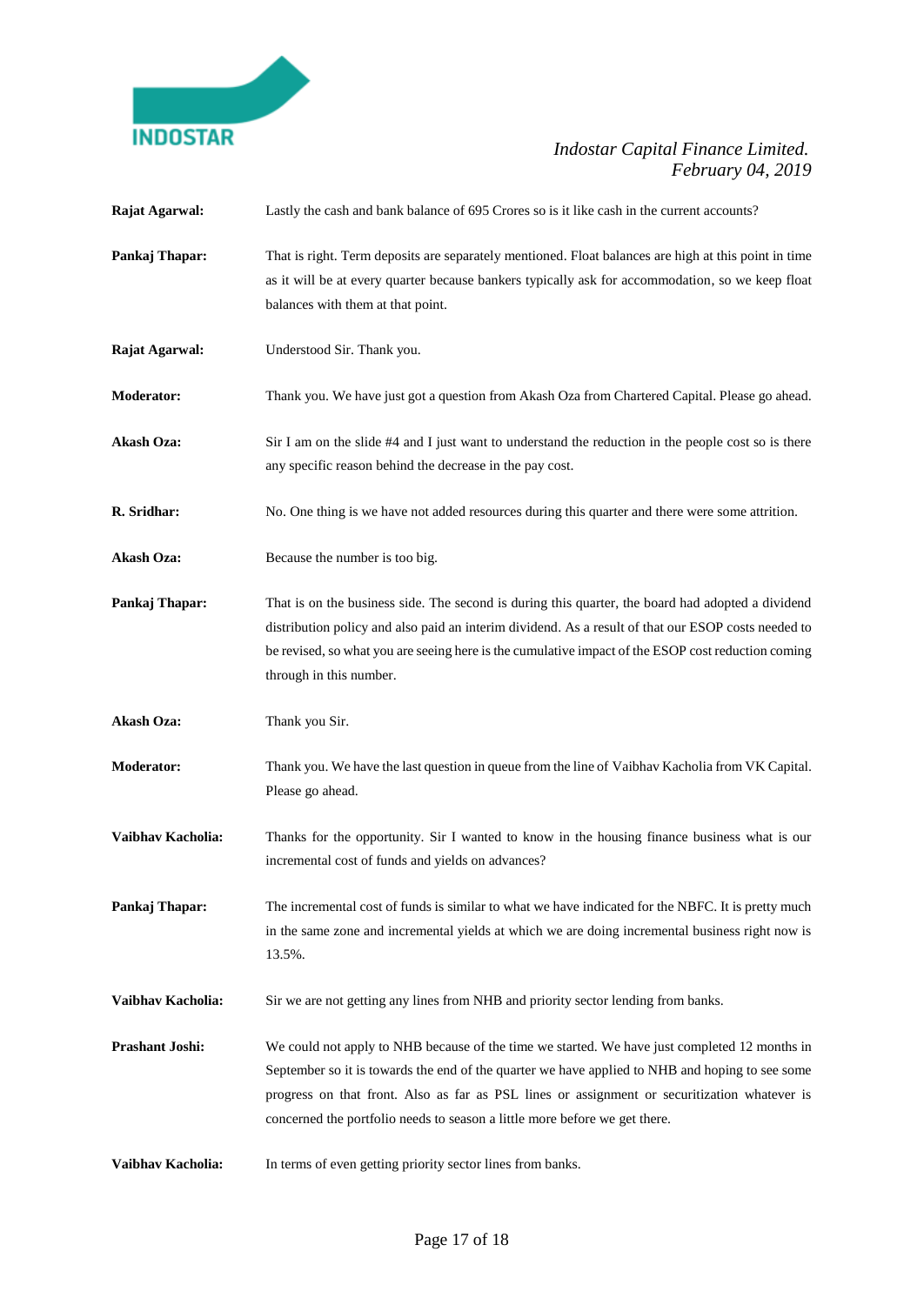

| Rajat Agarwal:    | Lastly the cash and bank balance of 695 Crores so is it like cash in the current accounts?                                                                                                                                                                                                                                                                                     |
|-------------------|--------------------------------------------------------------------------------------------------------------------------------------------------------------------------------------------------------------------------------------------------------------------------------------------------------------------------------------------------------------------------------|
| Pankaj Thapar:    | That is right. Term deposits are separately mentioned. Float balances are high at this point in time<br>as it will be at every quarter because bankers typically ask for accommodation, so we keep float<br>balances with them at that point.                                                                                                                                  |
| Rajat Agarwal:    | Understood Sir. Thank you.                                                                                                                                                                                                                                                                                                                                                     |
| <b>Moderator:</b> | Thank you. We have just got a question from Akash Oza from Chartered Capital. Please go ahead.                                                                                                                                                                                                                                                                                 |
| <b>Akash Oza:</b> | Sir I am on the slide #4 and I just want to understand the reduction in the people cost so is there<br>any specific reason behind the decrease in the pay cost.                                                                                                                                                                                                                |
| R. Sridhar:       | No. One thing is we have not added resources during this quarter and there were some attrition.                                                                                                                                                                                                                                                                                |
| Akash Oza:        | Because the number is too big.                                                                                                                                                                                                                                                                                                                                                 |
| Pankaj Thapar:    | That is on the business side. The second is during this quarter, the board had adopted a dividend<br>distribution policy and also paid an interim dividend. As a result of that our ESOP costs needed to<br>be revised, so what you are seeing here is the cumulative impact of the ESOP cost reduction coming<br>through in this number.                                      |
| <b>Akash Oza:</b> | Thank you Sir.                                                                                                                                                                                                                                                                                                                                                                 |
| <b>Moderator:</b> | Thank you. We have the last question in queue from the line of Vaibhav Kacholia from VK Capital.<br>Please go ahead.                                                                                                                                                                                                                                                           |
| Vaibhav Kacholia: | Thanks for the opportunity. Sir I wanted to know in the housing finance business what is our<br>incremental cost of funds and yields on advances?                                                                                                                                                                                                                              |
| Pankaj Thapar:    | The incremental cost of funds is similar to what we have indicated for the NBFC. It is pretty much<br>in the same zone and incremental yields at which we are doing incremental business right now is<br>13.5%.                                                                                                                                                                |
| Vaibhav Kacholia: | Sir we are not getting any lines from NHB and priority sector lending from banks.                                                                                                                                                                                                                                                                                              |
| Prashant Joshi:   | We could not apply to NHB because of the time we started. We have just completed 12 months in<br>September so it is towards the end of the quarter we have applied to NHB and hoping to see some<br>progress on that front. Also as far as PSL lines or assignment or securitization whatever is<br>concerned the portfolio needs to season a little more before we get there. |
| Vaibhav Kacholia: | In terms of even getting priority sector lines from banks.                                                                                                                                                                                                                                                                                                                     |